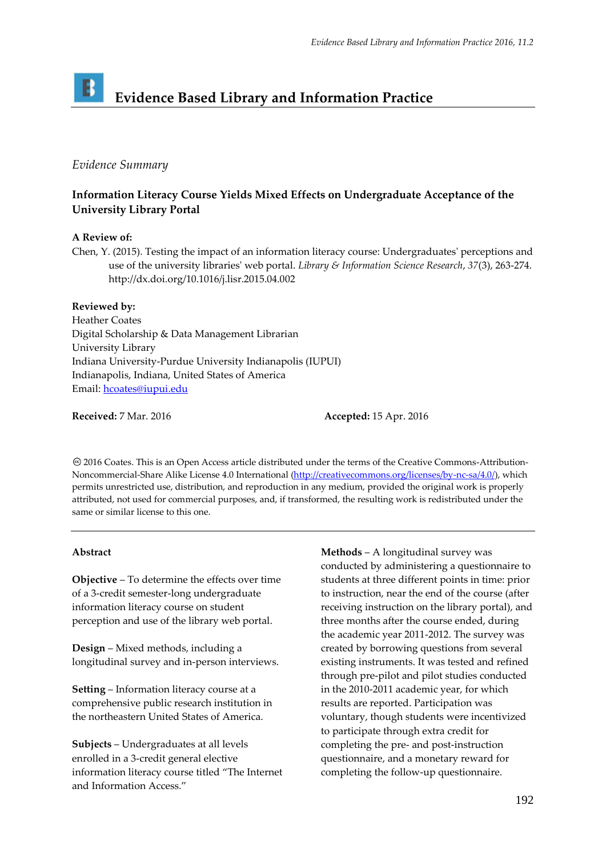# B **Evidence Based Library and Information Practice**

### *Evidence Summary*

# **Information Literacy Course Yields Mixed Effects on Undergraduate Acceptance of the University Library Portal**

### **A Review of:**

Chen, Y. (2015). Testing the impact of an information literacy course: Undergraduates' perceptions and use of the university libraries' web portal. *Library & Information Science Research*, *37*(3), 263-274. http://dx.doi.org/10.1016/j.lisr.2015.04.002

**Reviewed by:** Heather Coates Digital Scholarship & Data Management Librarian University Library Indiana University-Purdue University Indianapolis (IUPUI) Indianapolis, Indiana, United States of America Email[: hcoates@iupui.edu](mailto:hcoates@iupui.edu)

**Received:** 7 Mar. 2016 **Accepted:** 15 Apr. 2016

<sup>©</sup> 2016 Coates. This is an Open Access article distributed under the terms of the Creative Commons-Attribution-Noncommercial-Share Alike License 4.0 International [\(http://creativecommons.org/licenses/by-nc-sa/4.0/\)](http://creativecommons.org/licenses/by-nc-sa/4.0/), which permits unrestricted use, distribution, and reproduction in any medium, provided the original work is properly attributed, not used for commercial purposes, and, if transformed, the resulting work is redistributed under the same or similar license to this one.

#### **Abstract**

**Objective** – To determine the effects over time of a 3-credit semester-long undergraduate information literacy course on student perception and use of the library web portal.

**Design** – Mixed methods, including a longitudinal survey and in-person interviews.

**Setting** – Information literacy course at a comprehensive public research institution in the northeastern United States of America.

**Subjects** – Undergraduates at all levels enrolled in a 3-credit general elective information literacy course titled "The Internet and Information Access."

**Methods** – A longitudinal survey was conducted by administering a questionnaire to students at three different points in time: prior to instruction, near the end of the course (after receiving instruction on the library portal), and three months after the course ended, during the academic year 2011-2012. The survey was created by borrowing questions from several existing instruments. It was tested and refined through pre-pilot and pilot studies conducted in the 2010-2011 academic year, for which results are reported. Participation was voluntary, though students were incentivized to participate through extra credit for completing the pre- and post-instruction questionnaire, and a monetary reward for completing the follow-up questionnaire.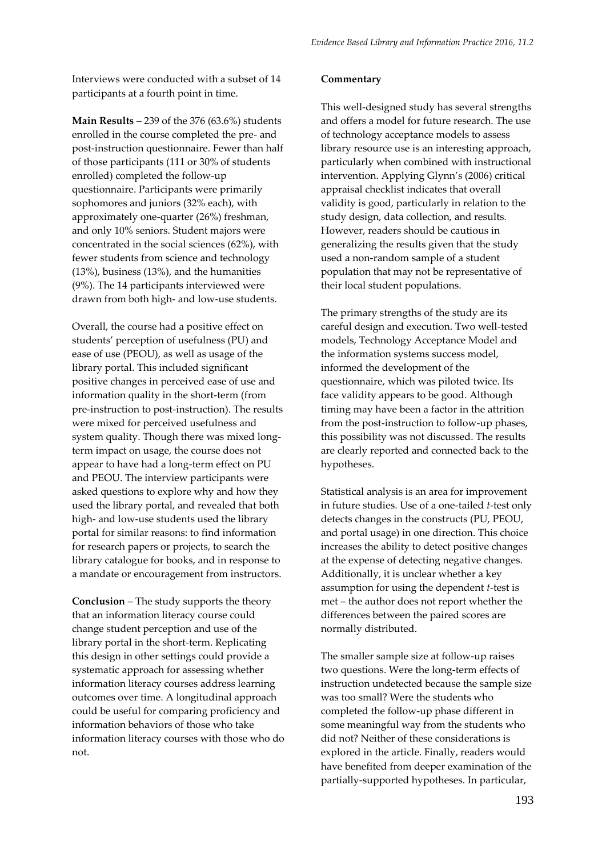Interviews were conducted with a subset of 14 participants at a fourth point in time.

**Main Results** – 239 of the 376 (63.6%) students enrolled in the course completed the pre- and post-instruction questionnaire. Fewer than half of those participants (111 or 30% of students enrolled) completed the follow-up questionnaire. Participants were primarily sophomores and juniors (32% each), with approximately one-quarter (26%) freshman, and only 10% seniors. Student majors were concentrated in the social sciences (62%), with fewer students from science and technology (13%), business (13%), and the humanities (9%). The 14 participants interviewed were drawn from both high- and low-use students.

Overall, the course had a positive effect on students' perception of usefulness (PU) and ease of use (PEOU), as well as usage of the library portal. This included significant positive changes in perceived ease of use and information quality in the short-term (from pre-instruction to post-instruction). The results were mixed for perceived usefulness and system quality. Though there was mixed longterm impact on usage, the course does not appear to have had a long-term effect on PU and PEOU. The interview participants were asked questions to explore why and how they used the library portal, and revealed that both high- and low-use students used the library portal for similar reasons: to find information for research papers or projects, to search the library catalogue for books, and in response to a mandate or encouragement from instructors.

**Conclusion** – The study supports the theory that an information literacy course could change student perception and use of the library portal in the short-term. Replicating this design in other settings could provide a systematic approach for assessing whether information literacy courses address learning outcomes over time. A longitudinal approach could be useful for comparing proficiency and information behaviors of those who take information literacy courses with those who do not.

#### **Commentary**

This well-designed study has several strengths and offers a model for future research. The use of technology acceptance models to assess library resource use is an interesting approach, particularly when combined with instructional intervention. Applying Glynn's (2006) critical appraisal checklist indicates that overall validity is good, particularly in relation to the study design, data collection, and results. However, readers should be cautious in generalizing the results given that the study used a non-random sample of a student population that may not be representative of their local student populations.

The primary strengths of the study are its careful design and execution. Two well-tested models, Technology Acceptance Model and the information systems success model, informed the development of the questionnaire, which was piloted twice. Its face validity appears to be good. Although timing may have been a factor in the attrition from the post-instruction to follow-up phases, this possibility was not discussed. The results are clearly reported and connected back to the hypotheses.

Statistical analysis is an area for improvement in future studies. Use of a one-tailed *t*-test only detects changes in the constructs (PU, PEOU, and portal usage) in one direction. This choice increases the ability to detect positive changes at the expense of detecting negative changes. Additionally, it is unclear whether a key assumption for using the dependent *t*-test is met – the author does not report whether the differences between the paired scores are normally distributed.

The smaller sample size at follow-up raises two questions. Were the long-term effects of instruction undetected because the sample size was too small? Were the students who completed the follow-up phase different in some meaningful way from the students who did not? Neither of these considerations is explored in the article. Finally, readers would have benefited from deeper examination of the partially-supported hypotheses. In particular,